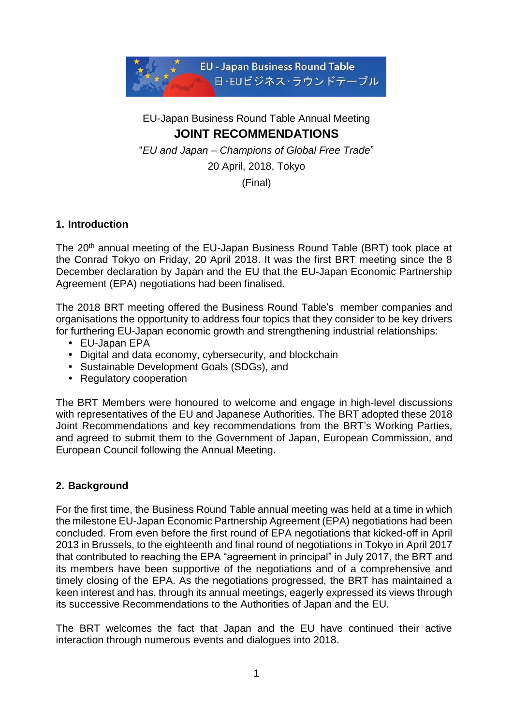

# EU-Japan Business Round Table Annual Meeting **JOINT RECOMMENDATIONS**

"*EU and Japan – Champions of Global Free Trade*" 20 April, 2018, Tokyo

(Final)

## **1. Introduction**

The 20<sup>th</sup> annual meeting of the EU-Japan Business Round Table (BRT) took place at the Conrad Tokyo on Friday, 20 April 2018. It was the first BRT meeting since the 8 December declaration by Japan and the EU that the EU-Japan Economic Partnership Agreement (EPA) negotiations had been finalised.

The 2018 BRT meeting offered the Business Round Table's member companies and organisations the opportunity to address four topics that they consider to be key drivers for furthering EU-Japan economic growth and strengthening industrial relationships:

- EU-Japan EPA
- Digital and data economy, cybersecurity, and blockchain
- Sustainable Development Goals (SDGs), and
- Regulatory cooperation

The BRT Members were honoured to welcome and engage in high-level discussions with representatives of the EU and Japanese Authorities. The BRT adopted these 2018 Joint Recommendations and key recommendations from the BRT's Working Parties, and agreed to submit them to the Government of Japan, European Commission, and European Council following the Annual Meeting.

## **2. Background**

For the first time, the Business Round Table annual meeting was held at a time in which the milestone EU-Japan Economic Partnership Agreement (EPA) negotiations had been concluded. From even before the first round of EPA negotiations that kicked-off in April 2013 in Brussels, to the eighteenth and final round of negotiations in Tokyo in April 2017 that contributed to reaching the EPA "agreement in principal" in July 2017, the BRT and its members have been supportive of the negotiations and of a comprehensive and timely closing of the EPA. As the negotiations progressed, the BRT has maintained a keen interest and has, through its annual meetings, eagerly expressed its views through its successive Recommendations to the Authorities of Japan and the EU.

The BRT welcomes the fact that Japan and the EU have continued their active interaction through numerous events and dialogues into 2018.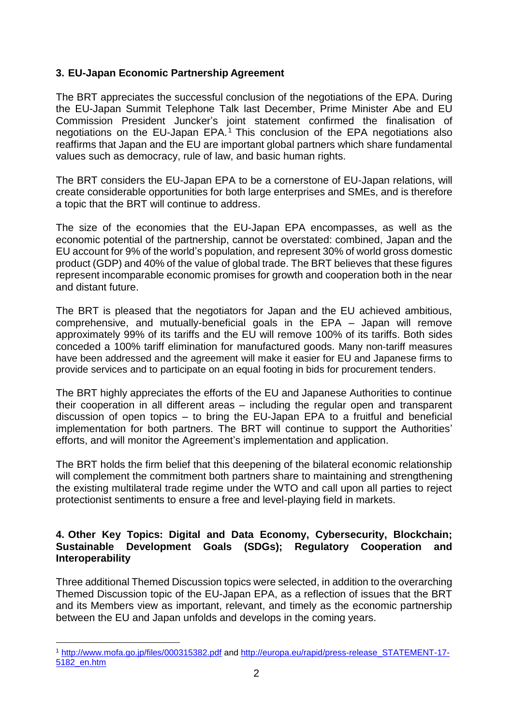### **3. EU-Japan Economic Partnership Agreement**

The BRT appreciates the successful conclusion of the negotiations of the EPA. During the EU-Japan Summit Telephone Talk last December, Prime Minister Abe and EU Commission President Juncker's joint statement confirmed the finalisation of negotiations on the EU-Japan EPA.<sup>1</sup> This conclusion of the EPA negotiations also reaffirms that Japan and the EU are important global partners which share fundamental values such as democracy, rule of law, and basic human rights.

The BRT considers the EU-Japan EPA to be a cornerstone of EU-Japan relations, will create considerable opportunities for both large enterprises and SMEs, and is therefore a topic that the BRT will continue to address.

The size of the economies that the EU-Japan EPA encompasses, as well as the economic potential of the partnership, cannot be overstated: combined, Japan and the EU account for 9% of the world's population, and represent 30% of world gross domestic product (GDP) and 40% of the value of global trade. The BRT believes that these figures represent incomparable economic promises for growth and cooperation both in the near and distant future.

The BRT is pleased that the negotiators for Japan and the EU achieved ambitious, comprehensive, and mutually-beneficial goals in the EPA – Japan will remove approximately 99% of its tariffs and the EU will remove 100% of its tariffs. Both sides conceded a 100% tariff elimination for manufactured goods. Many non-tariff measures have been addressed and the agreement will make it easier for EU and Japanese firms to provide services and to participate on an equal footing in bids for procurement tenders.

The BRT highly appreciates the efforts of the EU and Japanese Authorities to continue their cooperation in all different areas – including the regular open and transparent discussion of open topics – to bring the EU-Japan EPA to a fruitful and beneficial implementation for both partners. The BRT will continue to support the Authorities' efforts, and will monitor the Agreement's implementation and application.

The BRT holds the firm belief that this deepening of the bilateral economic relationship will complement the commitment both partners share to maintaining and strengthening the existing multilateral trade regime under the WTO and call upon all parties to reject protectionist sentiments to ensure a free and level-playing field in markets.

#### **4. Other Key Topics: Digital and Data Economy, Cybersecurity, Blockchain; Sustainable Development Goals (SDGs); Regulatory Cooperation and Interoperability**

Three additional Themed Discussion topics were selected, in addition to the overarching Themed Discussion topic of the EU-Japan EPA, as a reflection of issues that the BRT and its Members view as important, relevant, and timely as the economic partnership between the EU and Japan unfolds and develops in the coming years.

 $\overline{a}$ <sup>1</sup> <http://www.mofa.go.jp/files/000315382.pdf> and [http://europa.eu/rapid/press-release\\_STATEMENT-17-](http://europa.eu/rapid/press-release_STATEMENT-17-5182_en.htm) [5182\\_en.htm](http://europa.eu/rapid/press-release_STATEMENT-17-5182_en.htm)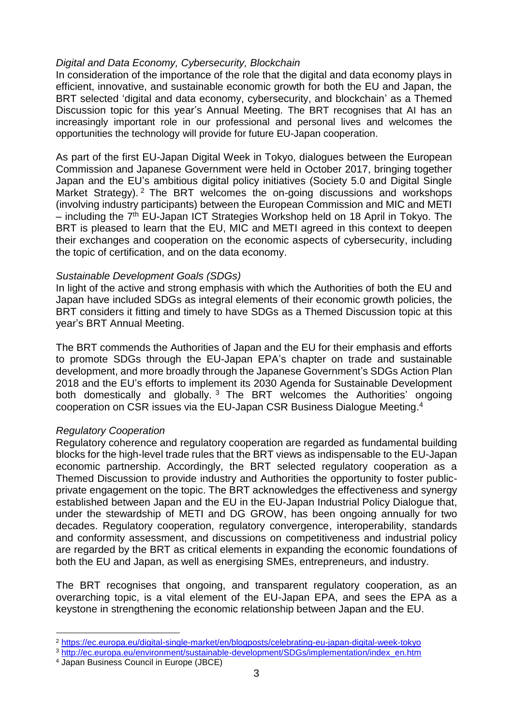#### *Digital and Data Economy, Cybersecurity, Blockchain*

In consideration of the importance of the role that the digital and data economy plays in efficient, innovative, and sustainable economic growth for both the EU and Japan, the BRT selected 'digital and data economy, cybersecurity, and blockchain' as a Themed Discussion topic for this year's Annual Meeting. The BRT recognises that AI has an increasingly important role in our professional and personal lives and welcomes the opportunities the technology will provide for future EU-Japan cooperation.

As part of the first EU-Japan Digital Week in Tokyo, dialogues between the European Commission and Japanese Government were held in October 2017, bringing together Japan and the EU's ambitious digital policy initiatives (Society 5.0 and Digital Single Market Strategy). <sup>2</sup> The BRT welcomes the on-going discussions and workshops (involving industry participants) between the European Commission and MIC and METI – including the 7<sup>th</sup> EU-Japan ICT Strategies Workshop held on 18 April in Tokyo. The BRT is pleased to learn that the EU, MIC and METI agreed in this context to deepen their exchanges and cooperation on the economic aspects of cybersecurity, including the topic of certification, and on the data economy.

#### *Sustainable Development Goals (SDGs)*

In light of the active and strong emphasis with which the Authorities of both the EU and Japan have included SDGs as integral elements of their economic growth policies, the BRT considers it fitting and timely to have SDGs as a Themed Discussion topic at this year's BRT Annual Meeting.

The BRT commends the Authorities of Japan and the EU for their emphasis and efforts to promote SDGs through the EU-Japan EPA's chapter on trade and sustainable development, and more broadly through the Japanese Government's SDGs Action Plan 2018 and the EU's efforts to implement its 2030 Agenda for Sustainable Development both domestically and globally.  $3$  The BRT welcomes the Authorities' ongoing cooperation on CSR issues via the EU-Japan CSR Business Dialogue Meeting. 4

#### *Regulatory Cooperation*

Regulatory coherence and regulatory cooperation are regarded as fundamental building blocks for the high-level trade rules that the BRT views as indispensable to the EU-Japan economic partnership. Accordingly, the BRT selected regulatory cooperation as a Themed Discussion to provide industry and Authorities the opportunity to foster publicprivate engagement on the topic. The BRT acknowledges the effectiveness and synergy established between Japan and the EU in the EU-Japan Industrial Policy Dialogue that, under the stewardship of METI and DG GROW, has been ongoing annually for two decades. Regulatory cooperation, regulatory convergence, interoperability, standards and conformity assessment, and discussions on competitiveness and industrial policy are regarded by the BRT as critical elements in expanding the economic foundations of both the EU and Japan, as well as energising SMEs, entrepreneurs, and industry.

The BRT recognises that ongoing, and transparent regulatory cooperation, as an overarching topic, is a vital element of the EU-Japan EPA, and sees the EPA as a keystone in strengthening the economic relationship between Japan and the EU.

 $\overline{a}$ <sup>2</sup> <https://ec.europa.eu/digital-single-market/en/blogposts/celebrating-eu-japan-digital-week-tokyo>

<sup>&</sup>lt;sup>3</sup> [http://ec.europa.eu/environment/sustainable-development/SDGs/implementation/index\\_en.htm](http://ec.europa.eu/environment/sustainable-development/SDGs/implementation/index_en.htm)

<sup>4</sup> Japan Business Council in Europe (JBCE)